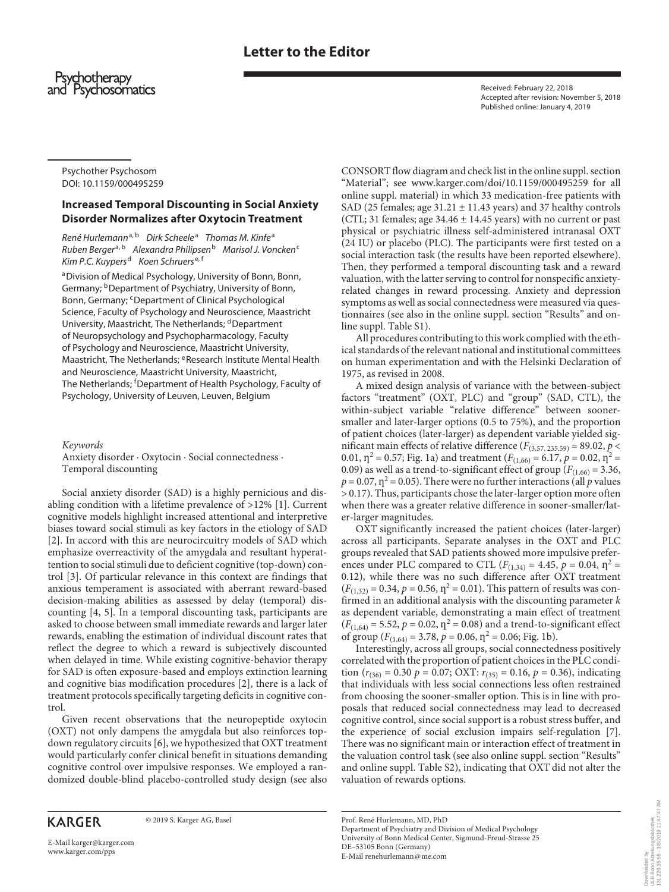# **Letter to the Editor**



Received: February 22, 2018 Accepted after revision: November 5, 2018 Published online: January 4, 2019

Psychother Psychosom DOI: 10.1159/000495259

## **Increased Temporal Discounting in Social Anxiety Disorder Normalizes after Oxytocin Treatment**

*René Hurlemann*a, <sup>b</sup> *Dirk Scheele*<sup>a</sup>  *Thomas M. Kinfe*<sup>a</sup> *Ruben Berger*a, <sup>b</sup> *Alexandra Philipsen*<sup>b</sup> *Marisol J. Voncken*<sup>c</sup> *Kim P.C. Kuypers*<sup>d</sup> *Koen Schruers*e, <sup>f</sup>

aDivision of Medical Psychology, University of Bonn, Bonn, Germany; <sup>b</sup>Department of Psychiatry, University of Bonn, Bonn, Germany; <sup>c</sup>Department of Clinical Psychological Science, Faculty of Psychology and Neuroscience, Maastricht University, Maastricht, The Netherlands; <sup>d</sup>Department of Neuropsychology and Psychopharmacology, Faculty of Psychology and Neuroscience, Maastricht University, Maastricht, The Netherlands; <sup>e</sup>Research Institute Mental Health and Neuroscience, Maastricht University, Maastricht, The Netherlands; <sup>f</sup> Department of Health Psychology, Faculty of Psychology, University of Leuven, Leuven, Belgium

*Keywords*

Anxiety disorder · Oxytocin · Social connectedness · Temporal discounting

Social anxiety disorder (SAD) is a highly pernicious and disabling condition with a lifetime prevalence of >12% [\[1\]](#page-1-0). Current cognitive models highlight increased attentional and interpretive biases toward social stimuli as key factors in the etiology of SAD [[2](#page-1-1)]. In accord with this are neurocircuitry models of SAD which emphasize overreactivity of the amygdala and resultant hyperattention to social stimuli due to deficient cognitive (top-down) control [[3](#page-1-2)]. Of particular relevance in this context are findings that anxious temperament is associated with aberrant reward-based decision-making abilities as assessed by delay (temporal) discounting [\[4,](#page-2-1) [5](#page-2-2)]. In a temporal discounting task, participants are asked to choose between small immediate rewards and larger later rewards, enabling the estimation of individual discount rates that reflect the degree to which a reward is subjectively discounted when delayed in time. While existing cognitive-behavior therapy for SAD is often exposure-based and employs extinction learning and cognitive bias modification procedures [\[2\]](#page-1-1), there is a lack of treatment protocols specifically targeting deficits in cognitive control.

Given recent observations that the neuropeptide oxytocin (OXT) not only dampens the amygdala but also reinforces topdown regulatory circuits [[6\]](#page-2-3), we hypothesized that OXT treatment would particularly confer clinical benefit in situations demanding cognitive control over impulsive responses. We employed a randomized double-blind placebo-controlled study design (see also

# **KARGER**

© 2019 S. Karger AG, Basel

E-Mail karger@karger.com www.karger.com/pps

CONSORT flow diagram and check list in the online suppl. section "Material"; see www.karger.com/doi/10.1159/000495259 for all online suppl. material) in which 33 medication-free patients with SAD (25 females; age  $31.21 \pm 11.43$  years) and 37 healthy controls (CTL; 31 females; age  $34.46 \pm 14.45$  years) with no current or past physical or psychiatric illness self-administered intranasal OXT (24 IU) or placebo (PLC). The participants were first tested on a social interaction task (the results have been reported elsewhere). Then, they performed a temporal discounting task and a reward valuation, with the latter serving to control for nonspecific anxietyrelated changes in reward processing. Anxiety and depression symptoms as well as social connectedness were measured via questionnaires (see also in the online suppl. section "Results" and online suppl. Table S1).

All procedures contributing to this work complied with the ethical standards of the relevant national and institutional committees on human experimentation and with the Helsinki Declaration of 1975, as revised in 2008.

A mixed design analysis of variance with the between-subject factors "treatment" (OXT, PLC) and "group" (SAD, CTL), the within-subject variable "relative difference" between soonersmaller and later-larger options (0.5 to 75%), and the proportion of patient choices (later-larger) as dependent variable yielded significant main effects of relative difference ( $F$ <sub>(3.57, 235.59)</sub> = 89.02,  $p$  < 0.01,  $\eta^2 = 0.57$ ; Fig. 1a) and treatment ( $F_{(1,66)} = 6.17$ ,  $p = 0.02$ ,  $\eta^2 =$ 0.09) as well as a trend-to-significant effect of group  $(F_{(1,66)} = 3.36,$  $p = 0.07$ ,  $\eta^2 = 0.05$ ). There were no further interactions (all *p* values > 0.17). Thus, participants chose the later-larger option more often when there was a greater relative difference in sooner-smaller/later-larger magnitudes.

<span id="page-0-0"></span>OXT significantly increased the patient choices (later-larger) across all participants. Separate analyses in the OXT and PLC groups revealed that SAD patients showed more impulsive preferences under PLC compared to CTL ( $F_{(1,34)} = 4.45$ ,  $p = 0.04$ ,  $\eta^2 =$ 0.12), while there was no such difference after OXT treatment  $(F_{(1,32)} = 0.34, p = 0.56, \eta^2 = 0.01)$ . This pattern of results was confirmed in an additional analysis with the discounting parameter *k* as dependent variable, demonstrating a main effect of treatment  $(F_{(1,64)} = 5.52, p = 0.02, \eta^2 = 0.08)$  and a trend-to-significant effect of group ( $F_{(1,64)} = 3.78$ ,  $p = 0.06$ ,  $p^2 = 0.06$ ; Fig. 1b).

Interestingly, across all groups, social connectedness positively correlated with the proportion of patient choices in the PLC condition ( $r_{(36)} = 0.30$   $p = 0.07$ ; OXT:  $r_{(35)} = 0.16$ ,  $p = 0.36$ ), indicating that individuals with less social connections less often restrained from choosing the sooner-smaller option. This is in line with proposals that reduced social connectedness may lead to decreased cognitive control, since social support is a robust stress buffer, and the experience of social exclusion impairs self-regulation [[7](#page-2-0)]. There was no significant main or interaction effect of treatment in the valuation control task (see also online suppl. section "Results" and online suppl. Table S2), indicating that OXT did not alter the valuation of rewards options.

Prof. René Hurlemann, MD, PhD Department of Psychiatry and Division of Medical Psychology University of Bonn Medical Center, Sigmund-Freud-Strasse 25 DE–53105 Bonn (Germany) E-Mail renehurlemann@me.com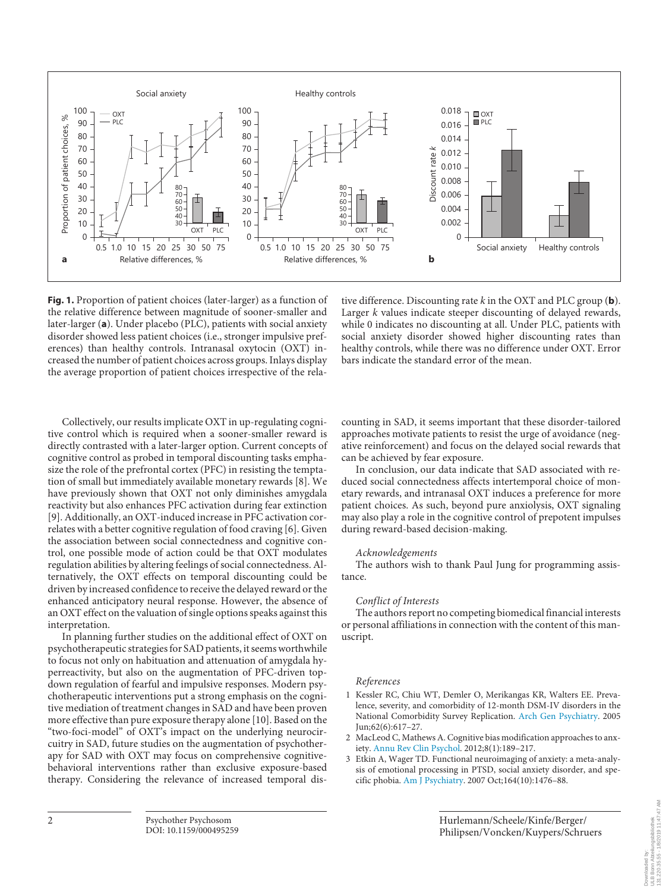

**Fig. 1.** Proportion of patient choices (later-larger) as a function of the relative difference between magnitude of sooner-smaller and later-larger (**a**). Under placebo (PLC), patients with social anxiety disorder showed less patient choices (i.e., stronger impulsive preferences) than healthy controls. Intranasal oxytocin (OXT) increased the number of patient choices across groups. Inlays display the average proportion of patient choices irrespective of the rela-

tive difference. Discounting rate *k* in the OXT and PLC group (**b**). Larger *k* values indicate steeper discounting of delayed rewards, while 0 indicates no discounting at all. Under PLC, patients with social anxiety disorder showed higher discounting rates than healthy controls, while there was no difference under OXT. Error bars indicate the standard error of the mean.

Collectively, our results implicate OXT in up-regulating cognitive control which is required when a sooner-smaller reward is directly contrasted with a later-larger option. Current concepts of cognitive control as probed in temporal discounting tasks emphasize the role of the prefrontal cortex (PFC) in resisting the temptation of small but immediately available monetary rewards [[8\]](#page-2-4). We have previously shown that OXT not only diminishes amygdala reactivity but also enhances PFC activation during fear extinction [[9](#page-2-5)]. Additionally, an OXT-induced increase in PFC activation correlates with a better cognitive regulation of food craving [[6](#page-2-3)]. Given the association between social connectedness and cognitive control, one possible mode of action could be that OXT modulates regulation abilities by altering feelings of social connectedness. Alternatively, the OXT effects on temporal discounting could be driven by increased confidence to receive the delayed reward or the enhanced anticipatory neural response. However, the absence of an OXT effect on the valuation of single options speaks against this interpretation.

In planning further studies on the additional effect of OXT on psychotherapeutic strategies for SAD patients, it seems worthwhile to focus not only on habituation and attenuation of amygdala hyperreactivity, but also on the augmentation of PFC-driven topdown regulation of fearful and impulsive responses. Modern psychotherapeutic interventions put a strong emphasis on the cognitive mediation of treatment changes in SAD and have been proven more effective than pure exposure therapy alone [[1](#page-1-0)0]. Based on the "two-foci-model" of OXT's impact on the underlying neurocircuitry in SAD, future studies on the augmentation of psychotherapy for SAD with OXT may focus on comprehensive cognitivebehavioral interventions rather than exclusive exposure-based therapy. Considering the relevance of increased temporal discounting in SAD, it seems important that these disorder-tailored approaches motivate patients to resist the urge of avoidance (negative reinforcement) and focus on the delayed social rewards that can be achieved by fear exposure.

In conclusion, our data indicate that SAD associated with reduced social connectedness affects intertemporal choice of monetary rewards, and intranasal OXT induces a preference for more patient choices. As such, beyond pure anxiolysis, OXT signaling may also play a role in the cognitive control of prepotent impulses during reward-based decision-making.

#### *Acknowledgements*

The authors wish to thank Paul Jung for programming assistance.

### *Conflict of Interests*

The authors report no competing biomedical financial interests or personal affiliations in connection with the content of this manuscript.

### *References*

- <span id="page-1-0"></span>[1](#page-0-0) Kessler RC, Chiu WT, Demler O, Merikangas KR, Walters EE. Prevalence, severity, and comorbidity of 12-month DSM-IV disorders in the National Comorbidity Survey Replication. [Arch Gen Psychiatry](https://www.karger.com/Article/FullText/495259?ref=1#ref1). 2005 Jun;62(6):617–27.
- <span id="page-1-1"></span>2 MacLeod C, Mathews A. Cognitive bias modification approaches to anxiety. [Annu Rev Clin Psychol.](https://www.karger.com/Article/FullText/495259?ref=2#ref2) 2012;8(1):189–217.
- <span id="page-1-2"></span>3 Etkin A, Wager TD. Functional neuroimaging of anxiety: a meta-analysis of emotional processing in PTSD, social anxiety disorder, and specific phobia. [Am J Psychiatry.](https://www.karger.com/Article/FullText/495259?ref=3#ref3) 2007 Oct;164(10):1476–88.